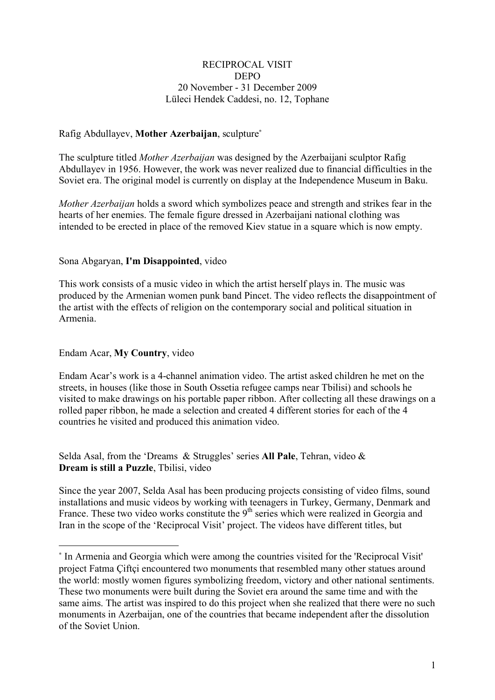### RECIPROCAL VISIT DEPO 20 November - 31 December 2009 Lüleci Hendek Caddesi, no. 12, Tophane

# Rafig Abdullayev, **Mother Azerbaijan**, sculpture<sup>∗</sup>

The sculpture titled *Mother Azerbaijan* was designed by the Azerbaijani sculptor Rafig Abdullayev in 1956. However, the work was never realized due to financial difficulties in the Soviet era. The original model is currently on display at the Independence Museum in Baku.

*Mother Azerbaijan* holds a sword which symbolizes peace and strength and strikes fear in the hearts of her enemies. The female figure dressed in Azerbaijani national clothing was intended to be erected in place of the removed Kiev statue in a square which is now empty.

# Sona Abgaryan, **I'm Disappointed**, video

This work consists of a music video in which the artist herself plays in. The music was produced by the Armenian women punk band Pincet. The video reflects the disappointment of the artist with the effects of religion on the contemporary social and political situation in Armenia.

### Endam Acar, **My Country**, video

 $\overline{a}$ 

Endam Acar's work is a 4-channel animation video. The artist asked children he met on the streets, in houses (like those in South Ossetia refugee camps near Tbilisi) and schools he visited to make drawings on his portable paper ribbon. After collecting all these drawings on a rolled paper ribbon, he made a selection and created 4 different stories for each of the 4 countries he visited and produced this animation video.

Selda Asal, from the 'Dreams & Struggles' series **All Pale**, Tehran, video & **Dream is still a Puzzle**, Tbilisi, video

Since the year 2007, Selda Asal has been producing projects consisting of video films, sound installations and music videos by working with teenagers in Turkey, Germany, Denmark and France. These two video works constitute the  $9<sup>th</sup>$  series which were realized in Georgia and Iran in the scope of the 'Reciprocal Visit' project. The videos have different titles, but

<sup>∗</sup> In Armenia and Georgia which were among the countries visited for the 'Reciprocal Visit' project Fatma Çiftçi encountered two monuments that resembled many other statues around the world: mostly women figures symbolizing freedom, victory and other national sentiments. These two monuments were built during the Soviet era around the same time and with the same aims. The artist was inspired to do this project when she realized that there were no such monuments in Azerbaijan, one of the countries that became independent after the dissolution of the Soviet Union.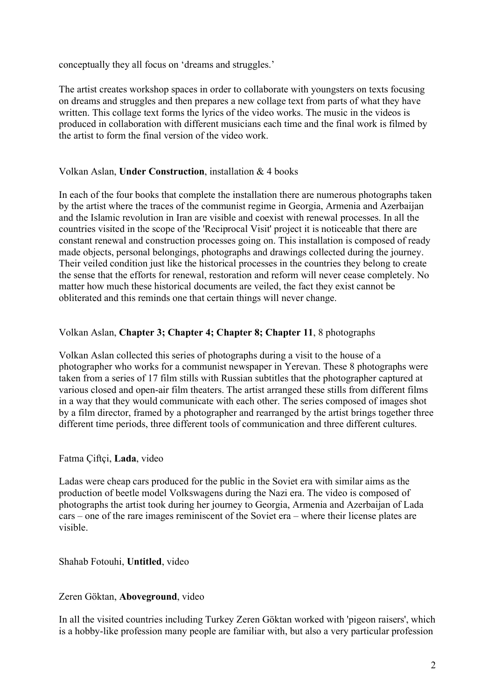conceptually they all focus on 'dreams and struggles.'

The artist creates workshop spaces in order to collaborate with youngsters on texts focusing on dreams and struggles and then prepares a new collage text from parts of what they have written. This collage text forms the lyrics of the video works. The music in the videos is produced in collaboration with different musicians each time and the final work is filmed by the artist to form the final version of the video work.

### Volkan Aslan, **Under Construction**, installation & 4 books

In each of the four books that complete the installation there are numerous photographs taken by the artist where the traces of the communist regime in Georgia, Armenia and Azerbaijan and the Islamic revolution in Iran are visible and coexist with renewal processes. In all the countries visited in the scope of the 'Reciprocal Visit' project it is noticeable that there are constant renewal and construction processes going on. This installation is composed of ready made objects, personal belongings, photographs and drawings collected during the journey. Their veiled condition just like the historical processes in the countries they belong to create the sense that the efforts for renewal, restoration and reform will never cease completely. No matter how much these historical documents are veiled, the fact they exist cannot be obliterated and this reminds one that certain things will never change.

# Volkan Aslan, **Chapter 3; Chapter 4; Chapter 8; Chapter 11**, 8 photographs

Volkan Aslan collected this series of photographs during a visit to the house of a photographer who works for a communist newspaper in Yerevan. These 8 photographs were taken from a series of 17 film stills with Russian subtitles that the photographer captured at various closed and open-air film theaters. The artist arranged these stills from different films in a way that they would communicate with each other. The series composed of images shot by a film director, framed by a photographer and rearranged by the artist brings together three different time periods, three different tools of communication and three different cultures.

# Fatma Çiftçi, **Lada**, video

Ladas were cheap cars produced for the public in the Soviet era with similar aims as the production of beetle model Volkswagens during the Nazi era. The video is composed of photographs the artist took during her journey to Georgia, Armenia and Azerbaijan of Lada cars – one of the rare images reminiscent of the Soviet era – where their license plates are visible.

#### Shahab Fotouhi, **Untitled**, video

# Zeren Göktan, **Aboveground**, video

In all the visited countries including Turkey Zeren Göktan worked with 'pigeon raisers', which is a hobby-like profession many people are familiar with, but also a very particular profession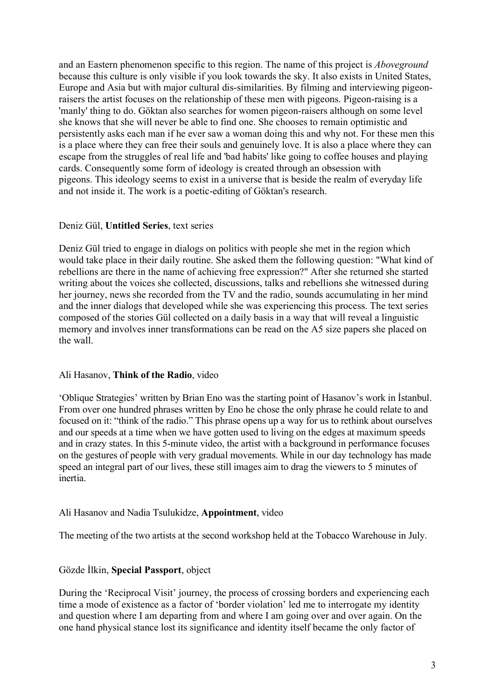and an Eastern phenomenon specific to this region. The name of this project is *Aboveground* because this culture is only visible if you look towards the sky. It also exists in United States, Europe and Asia but with major cultural dis-similarities. By filming and interviewing pigeonraisers the artist focuses on the relationship of these men with pigeons. Pigeon-raising is a 'manly' thing to do. Göktan also searches for women pigeon-raisers although on some level she knows that she will never be able to find one. She chooses to remain optimistic and persistently asks each man if he ever saw a woman doing this and why not. For these men this is a place where they can free their souls and genuinely love. It is also a place where they can escape from the struggles of real life and 'bad habits' like going to coffee houses and playing cards. Consequently some form of ideology is created through an obsession with pigeons. This ideology seems to exist in a universe that is beside the realm of everyday life and not inside it. The work is a poetic-editing of Göktan's research.

### Deniz Gül, **Untitled Series**, text series

Deniz Gül tried to engage in dialogs on politics with people she met in the region which would take place in their daily routine. She asked them the following question: "What kind of rebellions are there in the name of achieving free expression?" After she returned she started writing about the voices she collected, discussions, talks and rebellions she witnessed during her journey, news she recorded from the TV and the radio, sounds accumulating in her mind and the inner dialogs that developed while she was experiencing this process. The text series composed of the stories Gül collected on a daily basis in a way that will reveal a linguistic memory and involves inner transformations can be read on the A5 size papers she placed on the wall.

#### Ali Hasanov, **Think of the Radio**, video

'Oblique Strategies' written by Brian Eno was the starting point of Hasanov's work in İstanbul. From over one hundred phrases written by Eno he chose the only phrase he could relate to and focused on it: "think of the radio." This phrase opens up a way for us to rethink about ourselves and our speeds at a time when we have gotten used to living on the edges at maximum speeds and in crazy states. In this 5-minute video, the artist with a background in performance focuses on the gestures of people with very gradual movements. While in our day technology has made speed an integral part of our lives, these still images aim to drag the viewers to 5 minutes of inertia.

#### Ali Hasanov and Nadia Tsulukidze, **Appointment**, video

The meeting of the two artists at the second workshop held at the Tobacco Warehouse in July.

# Gözde İlkin, **Special Passport**, object

During the 'Reciprocal Visit' journey, the process of crossing borders and experiencing each time a mode of existence as a factor of 'border violation' led me to interrogate my identity and question where I am departing from and where I am going over and over again. On the one hand physical stance lost its significance and identity itself became the only factor of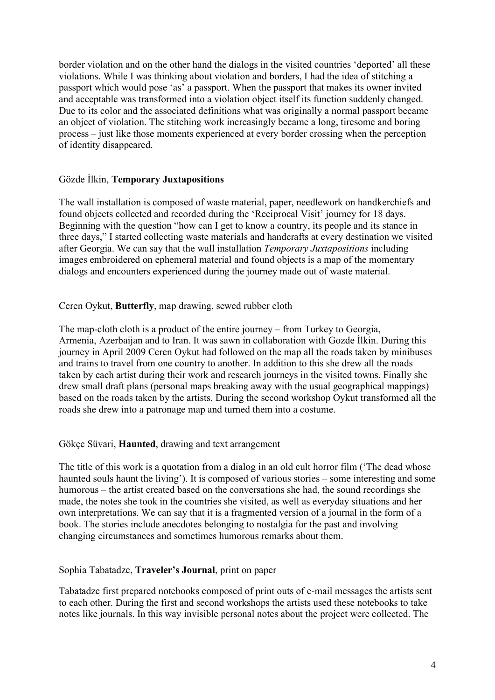border violation and on the other hand the dialogs in the visited countries 'deported' all these violations. While I was thinking about violation and borders, I had the idea of stitching a passport which would pose 'as' a passport. When the passport that makes its owner invited and acceptable was transformed into a violation object itself its function suddenly changed. Due to its color and the associated definitions what was originally a normal passport became an object of violation. The stitching work increasingly became a long, tiresome and boring process – just like those moments experienced at every border crossing when the perception of identity disappeared.

# Gözde İlkin, **Temporary Juxtapositions**

The wall installation is composed of waste material, paper, needlework on handkerchiefs and found objects collected and recorded during the 'Reciprocal Visit' journey for 18 days. Beginning with the question "how can I get to know a country, its people and its stance in three days," I started collecting waste materials and handcrafts at every destination we visited after Georgia. We can say that the wall installation *Temporary Juxtapositions* including images embroidered on ephemeral material and found objects is a map of the momentary dialogs and encounters experienced during the journey made out of waste material.

### Ceren Oykut, **Butterfly**, map drawing, sewed rubber cloth

The map-cloth cloth is a product of the entire journey – from Turkey to Georgia, Armenia, Azerbaijan and to Iran. It was sawn in collaboration with Gozde İlkin. During this journey in April 2009 Ceren Oykut had followed on the map all the roads taken by minibuses and trains to travel from one country to another. In addition to this she drew all the roads taken by each artist during their work and research journeys in the visited towns. Finally she drew small draft plans (personal maps breaking away with the usual geographical mappings) based on the roads taken by the artists. During the second workshop Oykut transformed all the roads she drew into a patronage map and turned them into a costume.

# Gökçe Süvari, **Haunted**, drawing and text arrangement

The title of this work is a quotation from a dialog in an old cult horror film ('The dead whose haunted souls haunt the living'). It is composed of various stories – some interesting and some humorous – the artist created based on the conversations she had, the sound recordings she made, the notes she took in the countries she visited, as well as everyday situations and her own interpretations. We can say that it is a fragmented version of a journal in the form of a book. The stories include anecdotes belonging to nostalgia for the past and involving changing circumstances and sometimes humorous remarks about them.

#### Sophia Tabatadze, **Traveler's Journal**, print on paper

Tabatadze first prepared notebooks composed of print outs of e-mail messages the artists sent to each other. During the first and second workshops the artists used these notebooks to take notes like journals. In this way invisible personal notes about the project were collected. The